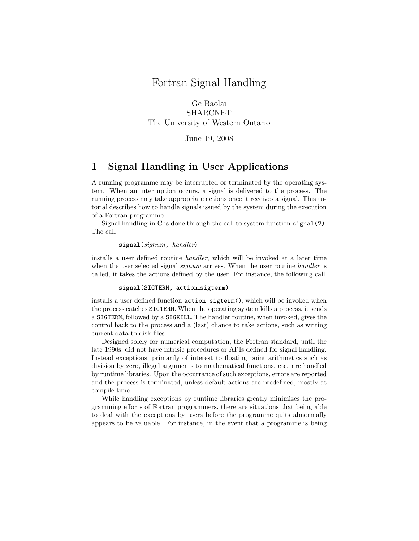# Fortran Signal Handling

Ge Baolai SHARCNET The University of Western Ontario

### June 19, 2008

### 1 Signal Handling in User Applications

A running programme may be interrupted or terminated by the operating system. When an interruption occurs, a signal is delivered to the process. The running process may take appropriate actions once it receives a signal. This tutorial describes how to handle signals issued by the system during the execution of a Fortran programme.

Signal handling in C is done through the call to system function  $\sigma$  signal(2). The call

#### signal(signum, handler)

installs a user defined routine handler, which will be invoked at a later time when the user selected signal *signum* arrives. When the user routine *handler* is called, it takes the actions defined by the user. For instance, the following call

#### signal(SIGTERM, action sigterm)

installs a user defined function action\_sigterm(), which will be invoked when the process catches SIGTERM. When the operating system kills a process, it sends a SIGTERM, followed by a SIGKILL. The handler routine, when invoked, gives the control back to the process and a (last) chance to take actions, such as writing current data to disk files.

Designed solely for numerical computation, the Fortran standard, until the late 1990s, did not have intrisic procedures or APIs defined for signal handling. Instead exceptions, primarily of interest to floating point arithmetics such as division by zero, illegal arguments to mathematical functions, etc. are handled by runtime libraries. Upon the occurrance of such exceptions, errors are reported and the process is terminated, unless default actions are predefined, mostly at compile time.

While handling exceptions by runtime libraries greatly minimizes the programming efforts of Fortran programmers, there are situations that being able to deal with the exceptions by users before the programme quits abnormally appears to be valuable. For instance, in the event that a programme is being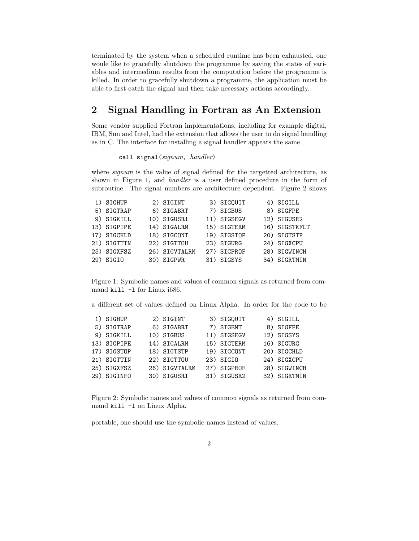terminated by the system when a scheduled runtime has been exhausted, one woule like to gracefully shutdown the programme by saving the states of variables and intermedium results from the computation before the programme is killed. In order to gracefully shutdown a programme, the application must be able to first catch the signal and then take necessary actions accordingly.

# 2 Signal Handling in Fortran as An Extension

Some vendor supplied Fortran implementations, including for example digital, IBM, Sun and Intel, had the extension that allows the user to do signal handling as in C. The interface for installing a signal handler appears the same

### call signal(signum, handler)

where *signum* is the value of signal defined for the targetted architecture, as shown in Figure 1, and handler is a user defined procedure in the form of subroutine. The signal numbers are architecture dependent. Figure 2 shows

| 1) SIGHUP   | 2) SIGINT     | 3) SIGQUIT  | 4) SIGILL     |
|-------------|---------------|-------------|---------------|
| 5) SIGTRAP  | 6) SIGABRT    | 7) SIGBUS   | 8) SIGFPE     |
| 9) SIGKILL  | 10) SIGUSR1   | 11) SIGSEGV | 12) SIGUSR2   |
| 13) SIGPIPE | 14) SIGALRM   | 15) SIGTERM | 16) SIGSTKFLT |
| 17) SIGCHLD | 18) SIGCONT   | 19) SIGSTOP | 20) SIGTSTP   |
| 21) SIGTTIN | 22) SIGTTOU   | 23) SIGURG  | 24) SIGXCPU   |
| 25) SIGXFSZ | 26) SIGVTALRM | 27) SIGPROF | 28) SIGWINCH  |
| 29) SIGIO   | 30) SIGPWR    | 31) SIGSYS  | 34) SIGRTMIN  |

Figure 1: Symbolic names and values of common signals as returned from command kill -l for Linux i686.

a different set of values defined on Linux Alpha. In order for the code to be

| 1) SIGHUP   | 2) SIGINT     | 3) SIGQUIT  | 4) SIGILL    |
|-------------|---------------|-------------|--------------|
| 5) SIGTRAP  | 6) SIGABRT    | 7) SIGEMT   | 8) SIGFPE    |
| 9) SIGKILL  | 10) SIGBUS    | 11) SIGSEGV | 12) SIGSYS   |
| 13) SIGPIPE | 14) SIGALRM   | 15) SIGTERM | 16) SIGURG   |
| 17) SIGSTOP | 18) SIGTSTP   | 19) SIGCONT | 20) SIGCHLD  |
| 21) SIGTTIN | 22) SIGTTOU   | 23) SIGIO   | 24) SIGXCPU  |
| 25) SIGXFSZ | 26) SIGVTALRM | 27) SIGPROF | 28) SIGWINCH |
| 29) SIGINFO | 30) SIGUSR1   | 31) SIGUSR2 | 32) SIGRTMIN |
|             |               |             |              |

Figure 2: Symbolic names and values of common signals as returned from command kill -l on Linux Alpha.

portable, one should use the symbolic names instead of values.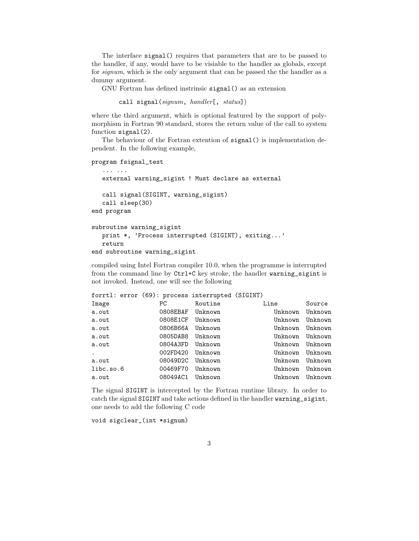The interface signal() requires that parameters that are to be passed to the handler, if any, would have to be visiable to the handler as globals, except for signum, which is the only argument that can be passed the the handler as a dummy argument.

GNU Fortran has defined instrinsic signal() as an extension

```
call signal(signum, handler[, status])
```
where the third argument, which is optional featured by the support of polymorphism in Fortran 90 standard, stores the return value of the call to system function signal(2).

The behaviour of the Fortran extention of signal() is implementation dependent. In the following example,

program fsignal\_test

```
... ...
  external warning_sigint ! Must declare as external
  call signal(SIGINT, warning_sigint)
  call sleep(30)
end program
```

```
subroutine warning_sigint
   print *, 'Process interrupted (SIGINT), exiting...'
   return
end subroutine warning_sigint
```
compiled using Intel Fortran compiler 10.0, when the programme is interrupted from the command line by Ctrl+C key stroke, the handler warning\_sigint is not invoked. Instead, one will see the following

|           |  |          | forrtl: error (69): process interrupted (SIGINT) |                 |         |
|-----------|--|----------|--------------------------------------------------|-----------------|---------|
| Image     |  | PC.      | Routine                                          | Line            | Source  |
| a.out     |  |          | 0808EBAF Unknown                                 | Unknown         | Unknown |
| a.out     |  | 0808E1CF | Unknown                                          | Unknown         | Unknown |
| a.out     |  | 0806B66A | Unknown                                          | Unknown Unknown |         |
| a.out     |  | 0805DAB8 | Unknown                                          | Unknown Unknown |         |
| a.out     |  | 0804A3FD | Unknown                                          | Unknown Unknown |         |
| $\bullet$ |  | 002FD420 | Unknown                                          | Unknown Unknown |         |
| a.out     |  | 08049D2C | Unknown                                          | Unknown Unknown |         |
| libc.so.6 |  | 00469F70 | Unknown                                          | Unknown Unknown |         |
| a.out     |  | 08049AC1 | Unknown                                          | Unknown Unknown |         |

The signal SIGINT is intercepted by the Fortran runtime library. In order to catch the signal SIGINT and take actions defined in the handler warning\_sigint, one needs to add the following C code

void sigclear\_(int \*signum)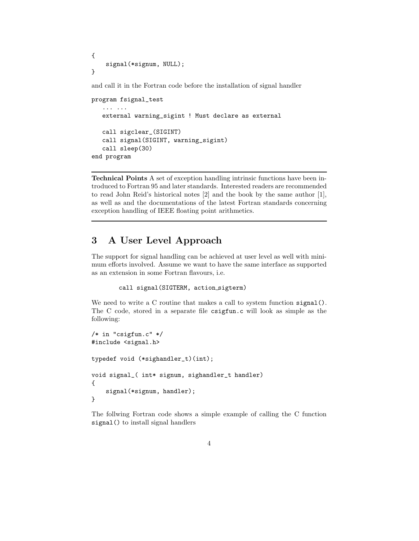```
{
    signal(*signum, NULL);
}
```
and call it in the Fortran code before the installation of signal handler

```
program fsignal_test
   ... ...
   external warning_sigint ! Must declare as external
   call sigclear_(SIGINT)
   call signal(SIGINT, warning_sigint)
   call sleep(30)
end program
```
Technical Points A set of exception handling intrinsic functions have been introduced to Fortran 95 and later standards. Interested readers are recommended to read John Reid's historical notes [2] and the book by the same author [1], as well as and the documentations of the latest Fortran standards concerning exception handling of IEEE floating point arithmetics.

## 3 A User Level Approach

The support for signal handling can be achieved at user level as well with minimum efforts involved. Assume we want to have the same interface as supported as an extension in some Fortran flavours, i.e.

```
call signal(SIGTERM, action sigterm)
```
We need to write a C routine that makes a call to system function signal(). The C code, stored in a separate file csigfun.c will look as simple as the following:

```
/* in "csigfun.c" */
#include <signal.h>
typedef void (*sighandler_t)(int);
void signal_( int* signum, sighandler_t handler)
{
    signal(*signum, handler);
}
```
The follwing Fortran code shows a simple example of calling the C function signal() to install signal handlers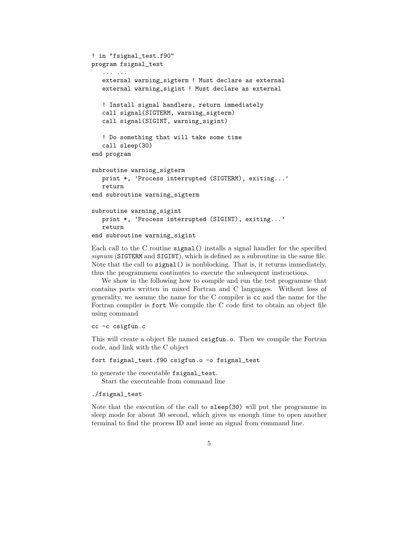```
! in "fsignal_test.f90"
program fsignal_test
   ... ...
   external warning_sigterm ! Must declare as external
   external warning_sigint ! Must declare as external
   ! Install signal handlers, return immediately
   call signal(SIGTERM, warning_sigterm)
   call signal(SIGINT, warning_sigint)
   ! Do something that will take some time
   call sleep(30)
end program
subroutine warning_sigterm
   print *, 'Process interrupted (SIGTERM), exiting...'
  return
end subroutine warning_sigterm
subroutine warning_sigint
   print *, 'Process interrupted (SIGINT), exiting...'
   return
end subroutine warning_sigint
```
Each call to the C routine signal() installs a signal handler for the specified  $signum$  (SIGTERM and SIGINT), which is defined as a subroutine in the same file. Note that the call to signal() is nonblocking. That is, it returns immediately, thus the programmem continutes to execute the subsequent instructions.

We show in the following how to compile and run the test programme that contains parts written in mixed Fortran and C languages. Without loss of generality, we assume the name for the C compiler is cc and the name for the Fortran compiler is fort We compile the C code first to obtain an object file using command

cc -c csigfun.c

This will create a object file named csigfun.o. Then we compile the Fortran code, and link with the C object

fort fsignal\_test.f90 csigfun.o -o fsignal\_test

to generate the executable fsignal\_test.

Start the executeable from command line

./fsignal\_test

Note that the execution of the call to sleep(30) will put the programme in sleep mode for about 30 second, which gives us enough time to open another terminal to find the process ID and issue an signal from command line.